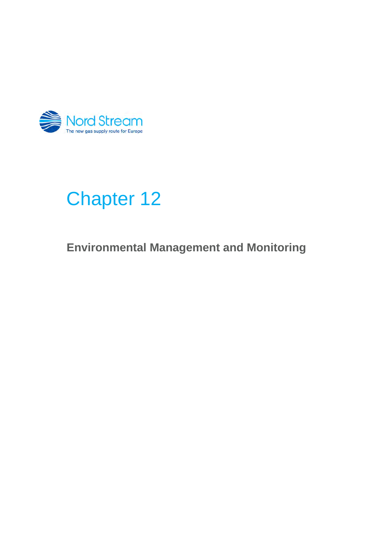

# Chapter 12

**Environmental Management and Monitoring**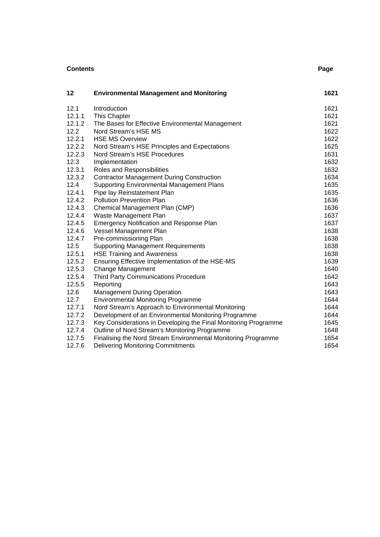| <b>Contents</b><br>Page |                                                                 |      |
|-------------------------|-----------------------------------------------------------------|------|
| 12                      | <b>Environmental Management and Monitoring</b>                  | 1621 |
| 12.1                    | Introduction                                                    | 1621 |
| 12.1.1                  | This Chapter                                                    | 1621 |
| 12.1.2                  | The Bases for Effective Environmental Management                | 1621 |
| 12.2                    | Nord Stream's HSE MS                                            | 1622 |
| 12.2.1                  | <b>HSE MS Overview</b>                                          | 1622 |
| 12.2.2                  | Nord Stream's HSE Principles and Expectations                   | 1625 |
| 12.2.3                  | Nord Stream's HSE Procedures                                    | 1631 |
| 12.3                    | Implementation                                                  | 1632 |
| 12.3.1                  | Roles and Responsibilities                                      | 1632 |
| 12.3.2                  | <b>Contractor Management During Construction</b>                | 1634 |
| 12.4                    | <b>Supporting Environmental Management Plans</b>                | 1635 |
| 12.4.1                  | Pipe lay Reinstatement Plan                                     | 1635 |
| 12.4.2                  | <b>Pollution Prevention Plan</b>                                | 1636 |
| 12.4.3                  | Chemical Management Plan (CMP)                                  | 1636 |
| 12.4.4                  | Waste Management Plan                                           | 1637 |
| 12.4.5                  | Emergency Notification and Response Plan                        | 1637 |
| 12.4.6                  | Vessel Management Plan                                          | 1638 |
| 12.4.7                  | Pre-commissioning Plan                                          | 1638 |
| 12.5                    | <b>Supporting Management Requirements</b>                       | 1638 |
| 12.5.1                  | <b>HSE Training and Awareness</b>                               | 1638 |
| 12.5.2                  | Ensuring Effective Implementation of the HSE-MS                 | 1639 |
| 12.5.3                  | <b>Change Management</b>                                        | 1640 |
| 12.5.4                  | <b>Third Party Communications Procedure</b>                     | 1642 |
| 12.5.5                  | Reporting                                                       | 1643 |
| 12.6                    | <b>Management During Operation</b>                              | 1643 |
| 12.7                    | <b>Environmental Monitoring Programme</b>                       | 1644 |
| 12.7.1                  | Nord Stream's Approach to Environmental Monitoring              | 1644 |
| 12.7.2                  | Development of an Environmental Monitoring Programme            | 1644 |
| 12.7.3                  | Key Considerations in Developing the Final Monitoring Programme | 1645 |
| 12.7.4                  | Outline of Nord Stream's Monitoring Programme                   | 1648 |
| 12.7.5                  | Finalising the Nord Stream Environmental Monitoring Programme   | 1654 |
| 12.7.6                  | <b>Delivering Monitoring Commitments</b>                        | 1654 |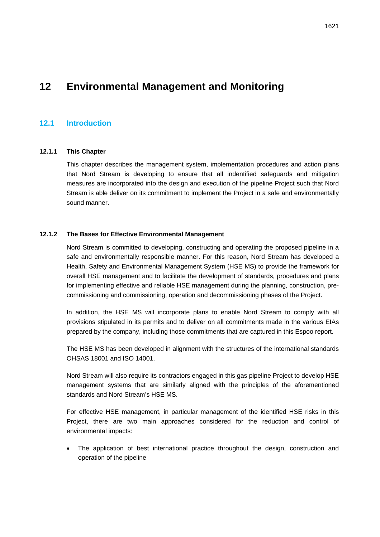# **12 Environmental Management and Monitoring**

# **12.1 Introduction**

# **12.1.1 This Chapter**

This chapter describes the management system, implementation procedures and action plans that Nord Stream is developing to ensure that all indentified safeguards and mitigation measures are incorporated into the design and execution of the pipeline Project such that Nord Stream is able deliver on its commitment to implement the Project in a safe and environmentally sound manner.

### **12.1.2 The Bases for Effective Environmental Management**

Nord Stream is committed to developing, constructing and operating the proposed pipeline in a safe and environmentally responsible manner. For this reason, Nord Stream has developed a Health, Safety and Environmental Management System (HSE MS) to provide the framework for overall HSE management and to facilitate the development of standards, procedures and plans for implementing effective and reliable HSE management during the planning, construction, precommissioning and commissioning, operation and decommissioning phases of the Project.

In addition, the HSE MS will incorporate plans to enable Nord Stream to comply with all provisions stipulated in its permits and to deliver on all commitments made in the various EIAs prepared by the company, including those commitments that are captured in this Espoo report.

The HSE MS has been developed in alignment with the structures of the international standards OHSAS 18001 and ISO 14001.

Nord Stream will also require its contractors engaged in this gas pipeline Project to develop HSE management systems that are similarly aligned with the principles of the aforementioned standards and Nord Stream's HSE MS.

For effective HSE management, in particular management of the identified HSE risks in this Project, there are two main approaches considered for the reduction and control of environmental impacts:

 The application of best international practice throughout the design, construction and operation of the pipeline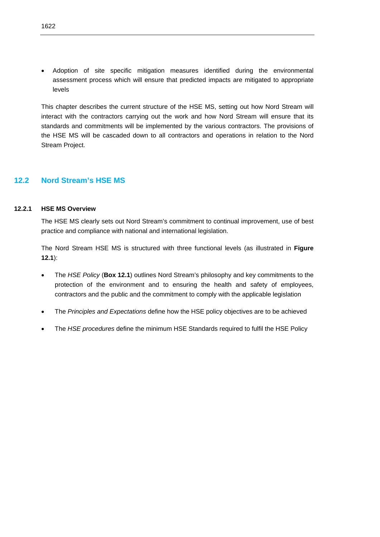Adoption of site specific mitigation measures identified during the environmental assessment process which will ensure that predicted impacts are mitigated to appropriate levels

This chapter describes the current structure of the HSE MS, setting out how Nord Stream will interact with the contractors carrying out the work and how Nord Stream will ensure that its standards and commitments will be implemented by the various contractors. The provisions of the HSE MS will be cascaded down to all contractors and operations in relation to the Nord Stream Project.

# **12.2 Nord Stream's HSE MS**

# **12.2.1 HSE MS Overview**

The HSE MS clearly sets out Nord Stream's commitment to continual improvement, use of best practice and compliance with national and international legislation.

The Nord Stream HSE MS is structured with three functional levels (as illustrated in **Figure 12.1**):

- The *HSE Policy* (**Box 12.1**) outlines Nord Stream's philosophy and key commitments to the protection of the environment and to ensuring the health and safety of employees, contractors and the public and the commitment to comply with the applicable legislation
- The *Principles and Expectations* define how the HSE policy objectives are to be achieved
- The *HSE procedures* define the minimum HSE Standards required to fulfil the HSE Policy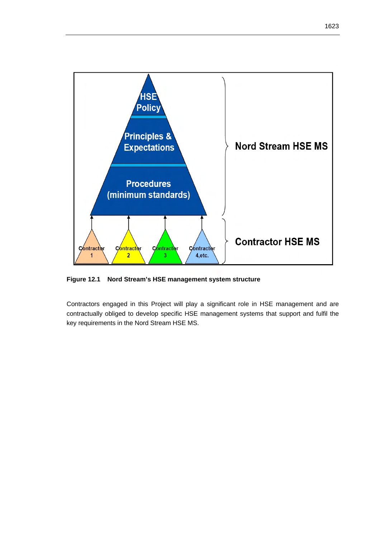

**Figure 12.1 Nord Stream's HSE management system structure** 

Contractors engaged in this Project will play a significant role in HSE management and are contractually obliged to develop specific HSE management systems that support and fulfil the key requirements in the Nord Stream HSE MS.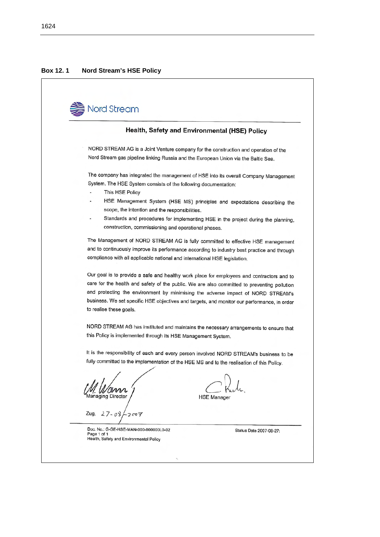#### **Box 12. 1 Nord Stream's HSE Policy**

Nord Stream Health, Safety and Environmental (HSE) Policy NORD STREAM AG is a Joint Venture company for the construction and operation of the Nord Stream gas pipeline linking Russia and the European Union via the Baltic Sea. The company has integrated the management of HSE into its overall Company Management System. The HSE System consists of the following documentation: This HSE Policy HSE Management System (HSE MS) principles and expectations describing the scope, the intention and the responsibilities. Standards and procedures for implementing HSE in the project during the planning, construction, commissioning and operational phases. The Management of NORD STREAM AG is fully committed to effective HSE management and to continuously improve its performance according to industry best practice and through compliance with all applicable national and international HSE legislation. Our goal is to provide a safe and healthy work place for employees and contractors and to care for the health and safety of the public. We are also committed to preventing pollution and protecting the environment by minimising the adverse impact of NORD STREAM's business. We set specific HSE objectives and targets, and monitor our performance, in order to realise these goals. NORD STREAM AG has instituted and maintains the necessary arrangements to ensure that this Policy is implemented through its HSE Management System. It is the responsibility of each and every person involved NORD STREAM's business to be fully committed to the implementation of the HSE MS and to the realisation of this Policy. aging Director **HSE Manager** Zug,  $27 - 08$  $2007$ Doc. No.: G-GE-HSE-MAN-000-000000L0-02 Status Date 2007-08-27: Page 1 of 1

Health, Safety and Environmental Policy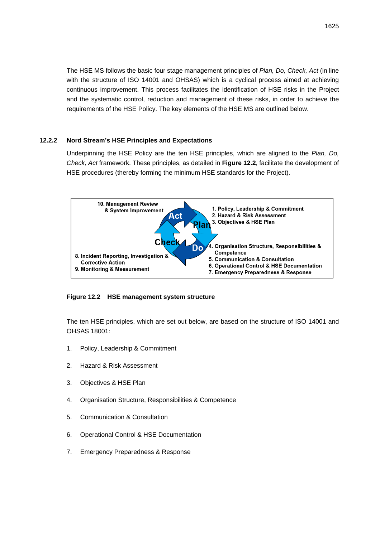The HSE MS follows the basic four stage management principles of *Plan, Do, Check, Act* (in line with the structure of ISO 14001 and OHSAS) which is a cyclical process aimed at achieving continuous improvement. This process facilitates the identification of HSE risks in the Project and the systematic control, reduction and management of these risks, in order to achieve the requirements of the HSE Policy. The key elements of the HSE MS are outlined below.

# **12.2.2 Nord Stream's HSE Principles and Expectations**

Underpinning the HSE Policy are the ten HSE principles, which are aligned to the *Plan, Do, Check, Act* framework. These principles, as detailed in **Figure 12.2**, facilitate the development of HSE procedures (thereby forming the minimum HSE standards for the Project).



# **Figure 12.2 HSE management system structure**

The ten HSE principles, which are set out below, are based on the structure of ISO 14001 and OHSAS 18001:

- 1. Policy, Leadership & Commitment
- 2. Hazard & Risk Assessment
- 3. Objectives & HSE Plan
- 4. Organisation Structure, Responsibilities & Competence
- 5. Communication & Consultation
- 6. Operational Control & HSE Documentation
- 7. Emergency Preparedness & Response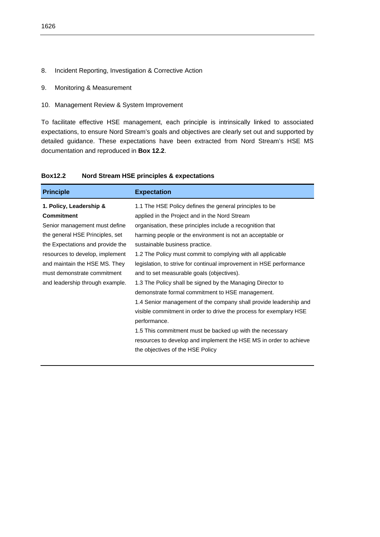- 8. Incident Reporting, Investigation & Corrective Action
- 9. Monitoring & Measurement
- 10. Management Review & System Improvement

To facilitate effective HSE management, each principle is intrinsically linked to associated expectations, to ensure Nord Stream's goals and objectives are clearly set out and supported by detailed guidance. These expectations have been extracted from Nord Stream's HSE MS documentation and reproduced in **Box 12.2**.

| <b>Principle</b>                 | <b>Expectation</b>                                                  |
|----------------------------------|---------------------------------------------------------------------|
| 1. Policy, Leadership &          | 1.1 The HSE Policy defines the general principles to be             |
| <b>Commitment</b>                | applied in the Project and in the Nord Stream                       |
| Senior management must define    | organisation, these principles include a recognition that           |
| the general HSE Principles, set  | harming people or the environment is not an acceptable or           |
| the Expectations and provide the | sustainable business practice.                                      |
| resources to develop, implement  | 1.2 The Policy must commit to complying with all applicable         |
| and maintain the HSE MS. They    | legislation, to strive for continual improvement in HSE performance |
| must demonstrate commitment      | and to set measurable goals (objectives).                           |
| and leadership through example.  | 1.3 The Policy shall be signed by the Managing Director to          |
|                                  | demonstrate formal commitment to HSE management.                    |
|                                  | 1.4 Senior management of the company shall provide leadership and   |
|                                  | visible commitment in order to drive the process for exemplary HSE  |
|                                  | performance.                                                        |
|                                  | 1.5 This commitment must be backed up with the necessary            |
|                                  | resources to develop and implement the HSE MS in order to achieve   |
|                                  | the objectives of the HSE Policy                                    |

# **Box12.2 Nord Stream HSE principles & expectations**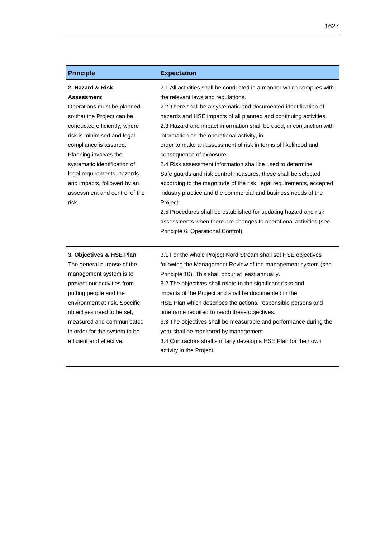| <b>Principle</b>                                                                                                                                                                                                                                                                                                                                            | <b>Expectation</b>                                                                                                                                                                                                                                                                                                                                                                                                                                                                                                                                                                                                                                                                                                                                                                                                                                                                                                                             |
|-------------------------------------------------------------------------------------------------------------------------------------------------------------------------------------------------------------------------------------------------------------------------------------------------------------------------------------------------------------|------------------------------------------------------------------------------------------------------------------------------------------------------------------------------------------------------------------------------------------------------------------------------------------------------------------------------------------------------------------------------------------------------------------------------------------------------------------------------------------------------------------------------------------------------------------------------------------------------------------------------------------------------------------------------------------------------------------------------------------------------------------------------------------------------------------------------------------------------------------------------------------------------------------------------------------------|
| 2. Hazard & Risk<br><b>Assessment</b><br>Operations must be planned<br>so that the Project can be<br>conducted efficiently, where<br>risk is minimised and legal<br>compliance is assured.<br>Planning involves the<br>systematic identification of<br>legal requirements, hazards<br>and impacts, followed by an<br>assessment and control of the<br>risk. | 2.1 All activities shall be conducted in a manner which complies with<br>the relevant laws and regulations.<br>2.2 There shall be a systematic and documented identification of<br>hazards and HSE impacts of all planned and continuing activities.<br>2.3 Hazard and impact information shall be used, in conjunction with<br>information on the operational activity, in<br>order to make an assessment of risk in terms of likelihood and<br>consequence of exposure.<br>2.4 Risk assessment information shall be used to determine<br>Safe guards and risk control measures, these shall be selected<br>according to the magnitude of the risk, legal requirements, accepted<br>industry practice and the commercial and business needs of the<br>Project.<br>2.5 Procedures shall be established for updating hazard and risk<br>assessments when there are changes to operational activities (see<br>Principle 6. Operational Control). |
| 3. Objectives & HSE Plan<br>The general purpose of the<br>management system is to<br>prevent our activities from<br>putting people and the<br>environment at risk. Specific<br>objectives need to be set,<br>measured and communicated<br>in order for the system to be<br>efficient and effective.                                                         | 3.1 For the whole Project Nord Stream shall set HSE objectives<br>following the Management Review of the management system (see<br>Principle 10). This shall occur at least annually.<br>3.2 The objectives shall relate to the significant risks and<br>impacts of the Project and shall be documented in the<br>HSE Plan which describes the actions, responsible persons and<br>timeframe required to reach these objectives.<br>3.3 The objectives shall be measurable and performance during the<br>year shall be monitored by management.<br>3.4 Contractors shall similarly develop a HSE Plan for their own<br>activity in the Project.                                                                                                                                                                                                                                                                                                |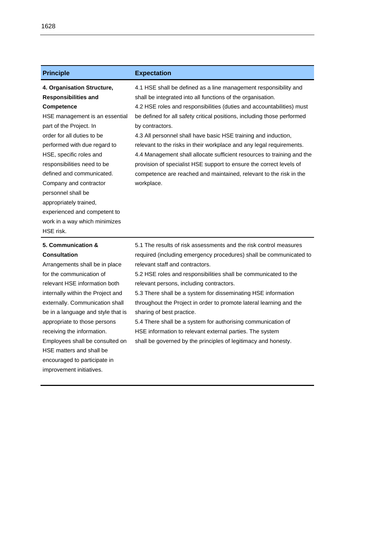| <b>Principle</b>                                                                                                                                                                                                                                                                                                                                                                                                                            | <b>Expectation</b>                                                                                                                                                                                                                                                                                                                                                                                                                                                                                                                                                                                                                                                                    |
|---------------------------------------------------------------------------------------------------------------------------------------------------------------------------------------------------------------------------------------------------------------------------------------------------------------------------------------------------------------------------------------------------------------------------------------------|---------------------------------------------------------------------------------------------------------------------------------------------------------------------------------------------------------------------------------------------------------------------------------------------------------------------------------------------------------------------------------------------------------------------------------------------------------------------------------------------------------------------------------------------------------------------------------------------------------------------------------------------------------------------------------------|
| 4. Organisation Structure,<br><b>Responsibilities and</b><br><b>Competence</b><br>HSE management is an essential<br>part of the Project. In<br>order for all duties to be<br>performed with due regard to<br>HSE, specific roles and<br>responsibilities need to be<br>defined and communicated.<br>Company and contractor<br>personnel shall be<br>appropriately trained,<br>experienced and competent to<br>work in a way which minimizes | 4.1 HSE shall be defined as a line management responsibility and<br>shall be integrated into all functions of the organisation.<br>4.2 HSE roles and responsibilities (duties and accountabilities) must<br>be defined for all safety critical positions, including those performed<br>by contractors.<br>4.3 All personnel shall have basic HSE training and induction,<br>relevant to the risks in their workplace and any legal requirements.<br>4.4 Management shall allocate sufficient resources to training and the<br>provision of specialist HSE support to ensure the correct levels of<br>competence are reached and maintained, relevant to the risk in the<br>workplace. |
| HSE risk.                                                                                                                                                                                                                                                                                                                                                                                                                                   |                                                                                                                                                                                                                                                                                                                                                                                                                                                                                                                                                                                                                                                                                       |
| 5. Communication &<br><b>Consultation</b><br>Arrangements shall be in place                                                                                                                                                                                                                                                                                                                                                                 | 5.1 The results of risk assessments and the risk control measures<br>required (including emergency procedures) shall be communicated to<br>relevant staff and contractors.                                                                                                                                                                                                                                                                                                                                                                                                                                                                                                            |
| for the communication of                                                                                                                                                                                                                                                                                                                                                                                                                    | 5.2 HSE roles and responsibilities shall be communicated to the                                                                                                                                                                                                                                                                                                                                                                                                                                                                                                                                                                                                                       |

relevant HSE information both internally within the Project and externally. Communication shall be in a language and style that is appropriate to those persons receiving the information. Employees shall be consulted on HSE matters and shall be encouraged to participate in improvement initiatives.

relevant persons, including contractors. 5.3 There shall be a system for disseminating HSE information

throughout the Project in order to promote lateral learning and the sharing of best practice.

5.4 There shall be a system for authorising communication of HSE information to relevant external parties. The system shall be governed by the principles of legitimacy and honesty.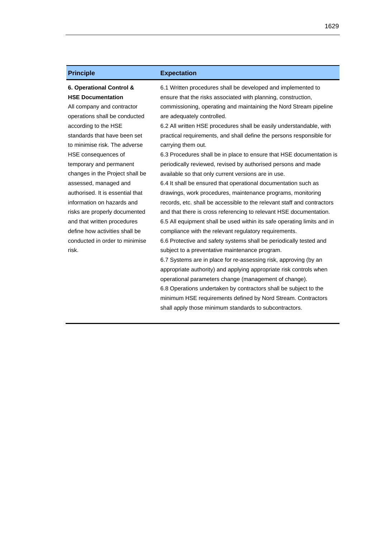# **6. Operational Control & HSE Documentation**

All company and contractor operations shall be conducted according to the HSE standards that have been set to minimise risk. The adverse HSE consequences of temporary and permanent changes in the Project shall be assessed, managed and authorised. It is essential that information on hazards and risks are properly documented and that written procedures define how activities shall be conducted in order to minimise risk.

### **Principle Expectation**

6.1 Written procedures shall be developed and implemented to ensure that the risks associated with planning, construction, commissioning, operating and maintaining the Nord Stream pipeline are adequately controlled.

6.2 All written HSE procedures shall be easily understandable, with practical requirements, and shall define the persons responsible for carrying them out.

6.3 Procedures shall be in place to ensure that HSE documentation is periodically reviewed, revised by authorised persons and made available so that only current versions are in use.

6.4 It shall be ensured that operational documentation such as drawings, work procedures, maintenance programs, monitoring records, etc. shall be accessible to the relevant staff and contractors and that there is cross referencing to relevant HSE documentation. 6.5 All equipment shall be used within its safe operating limits and in compliance with the relevant regulatory requirements. 6.6 Protective and safety systems shall be periodically tested and subject to a preventative maintenance program.

6.7 Systems are in place for re-assessing risk, approving (by an appropriate authority) and applying appropriate risk controls when operational parameters change (management of change). 6.8 Operations undertaken by contractors shall be subject to the minimum HSE requirements defined by Nord Stream. Contractors shall apply those minimum standards to subcontractors.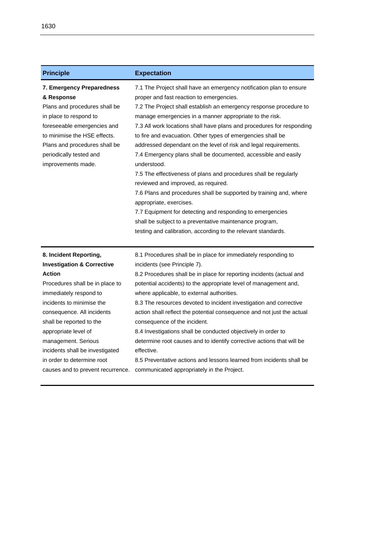| <b>Principle</b>                                                                                                                                                                                                                                                                                                                                                                          | <b>Expectation</b>                                                                                                                                                                                                                                                                                                                                                                                                                                                                                                                                                                                                                                                                                                                                                                                                                                                                                                                                 |
|-------------------------------------------------------------------------------------------------------------------------------------------------------------------------------------------------------------------------------------------------------------------------------------------------------------------------------------------------------------------------------------------|----------------------------------------------------------------------------------------------------------------------------------------------------------------------------------------------------------------------------------------------------------------------------------------------------------------------------------------------------------------------------------------------------------------------------------------------------------------------------------------------------------------------------------------------------------------------------------------------------------------------------------------------------------------------------------------------------------------------------------------------------------------------------------------------------------------------------------------------------------------------------------------------------------------------------------------------------|
| 7. Emergency Preparedness<br>& Response<br>Plans and procedures shall be<br>in place to respond to<br>foreseeable emergencies and<br>to minimise the HSE effects.<br>Plans and procedures shall be<br>periodically tested and<br>improvements made.                                                                                                                                       | 7.1 The Project shall have an emergency notification plan to ensure<br>proper and fast reaction to emergencies.<br>7.2 The Project shall establish an emergency response procedure to<br>manage emergencies in a manner appropriate to the risk.<br>7.3 All work locations shall have plans and procedures for responding<br>to fire and evacuation. Other types of emergencies shall be<br>addressed dependant on the level of risk and legal requirements.<br>7.4 Emergency plans shall be documented, accessible and easily<br>understood.<br>7.5 The effectiveness of plans and procedures shall be regularly<br>reviewed and improved, as required.<br>7.6 Plans and procedures shall be supported by training and, where<br>appropriate, exercises.<br>7.7 Equipment for detecting and responding to emergencies<br>shall be subject to a preventative maintenance program,<br>testing and calibration, according to the relevant standards. |
| 8. Incident Reporting,<br><b>Investigation &amp; Corrective</b><br><b>Action</b><br>Procedures shall be in place to<br>immediately respond to<br>incidents to minimise the<br>consequence. All incidents<br>shall be reported to the<br>appropriate level of<br>management. Serious<br>incidents shall be investigated<br>in order to determine root<br>causes and to prevent recurrence. | 8.1 Procedures shall be in place for immediately responding to<br>incidents (see Principle 7).<br>8.2 Procedures shall be in place for reporting incidents (actual and<br>potential accidents) to the appropriate level of management and,<br>where applicable, to external authorities.<br>8.3 The resources devoted to incident investigation and corrective<br>action shall reflect the potential consequence and not just the actual<br>consequence of the incident.<br>8.4 Investigations shall be conducted objectively in order to<br>determine root causes and to identify corrective actions that will be<br>effective.<br>8.5 Preventative actions and lessons learned from incidents shall be<br>communicated appropriately in the Project.                                                                                                                                                                                             |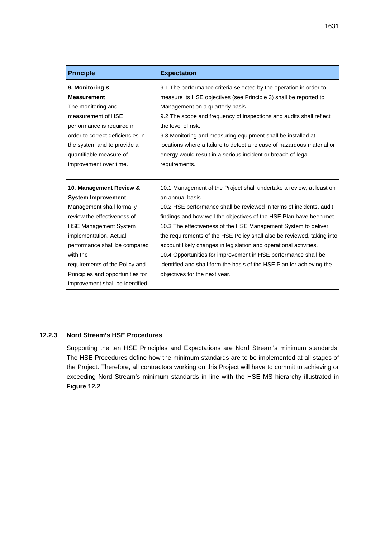1631

| <b>Principle</b>                                                                                                                                                                                                                                                                                                                  | <b>Expectation</b>                                                                                                                                                                                                                                                                                                                                                                                                                                                                                                                                                                                                                  |
|-----------------------------------------------------------------------------------------------------------------------------------------------------------------------------------------------------------------------------------------------------------------------------------------------------------------------------------|-------------------------------------------------------------------------------------------------------------------------------------------------------------------------------------------------------------------------------------------------------------------------------------------------------------------------------------------------------------------------------------------------------------------------------------------------------------------------------------------------------------------------------------------------------------------------------------------------------------------------------------|
| 9. Monitoring &<br><b>Measurement</b><br>The monitoring and<br>measurement of HSE<br>performance is required in<br>order to correct deficiencies in<br>the system and to provide a<br>quantifiable measure of<br>improvement over time.                                                                                           | 9.1 The performance criteria selected by the operation in order to<br>measure its HSE objectives (see Principle 3) shall be reported to<br>Management on a quarterly basis.<br>9.2 The scope and frequency of inspections and audits shall reflect<br>the level of risk.<br>9.3 Monitoring and measuring equipment shall be installed at<br>locations where a failure to detect a release of hazardous material or<br>energy would result in a serious incident or breach of legal<br>requirements.                                                                                                                                 |
| 10. Management Review &<br><b>System Improvement</b><br>Management shall formally<br>review the effectiveness of<br><b>HSE Management System</b><br>implementation. Actual<br>performance shall be compared<br>with the<br>requirements of the Policy and<br>Principles and opportunities for<br>improvement shall be identified. | 10.1 Management of the Project shall undertake a review, at least on<br>an annual basis.<br>10.2 HSE performance shall be reviewed in terms of incidents, audit<br>findings and how well the objectives of the HSE Plan have been met.<br>10.3 The effectiveness of the HSE Management System to deliver<br>the requirements of the HSE Policy shall also be reviewed, taking into<br>account likely changes in legislation and operational activities.<br>10.4 Opportunities for improvement in HSE performance shall be<br>identified and shall form the basis of the HSE Plan for achieving the<br>objectives for the next year. |

# **12.2.3 Nord Stream's HSE Procedures**

Supporting the ten HSE Principles and Expectations are Nord Stream's minimum standards. The HSE Procedures define how the minimum standards are to be implemented at all stages of the Project. Therefore, all contractors working on this Project will have to commit to achieving or exceeding Nord Stream's minimum standards in line with the HSE MS hierarchy illustrated in **Figure 12.2**.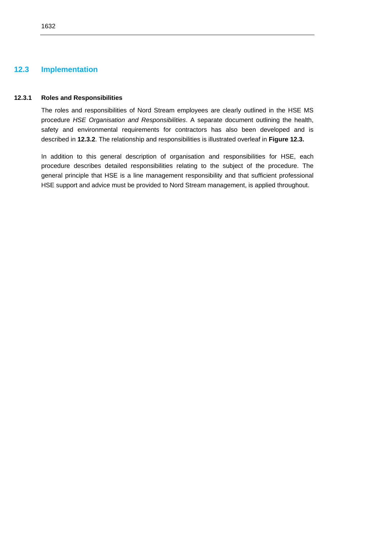# **12.3 Implementation**

#### **12.3.1 Roles and Responsibilities**

The roles and responsibilities of Nord Stream employees are clearly outlined in the HSE MS procedure *HSE Organisation and Responsibilities*. A separate document outlining the health, safety and environmental requirements for contractors has also been developed and is described in **12.3.2**. The relationship and responsibilities is illustrated overleaf in **Figure 12.3.**

In addition to this general description of organisation and responsibilities for HSE, each procedure describes detailed responsibilities relating to the subject of the procedure. The general principle that HSE is a line management responsibility and that sufficient professional HSE support and advice must be provided to Nord Stream management, is applied throughout.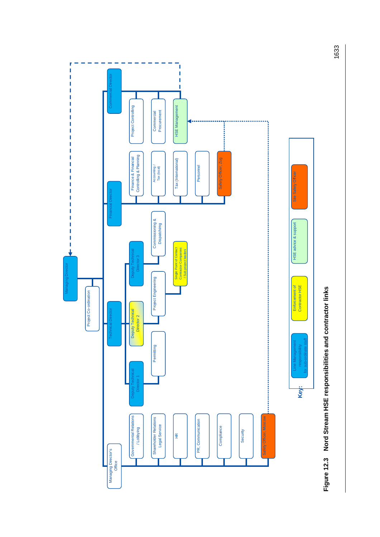



1633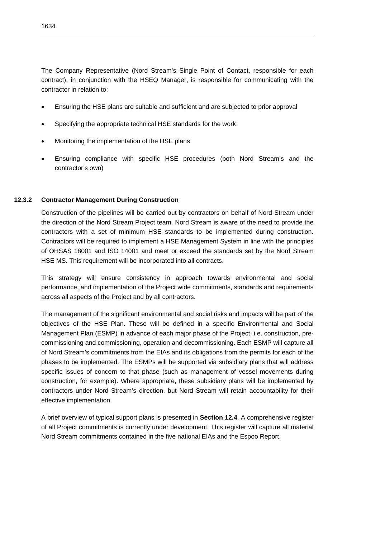The Company Representative (Nord Stream's Single Point of Contact, responsible for each contract), in conjunction with the HSEQ Manager, is responsible for communicating with the contractor in relation to:

- Ensuring the HSE plans are suitable and sufficient and are subjected to prior approval
- Specifying the appropriate technical HSE standards for the work
- Monitoring the implementation of the HSE plans
- Ensuring compliance with specific HSE procedures (both Nord Stream's and the contractor's own)

#### **12.3.2 Contractor Management During Construction**

Construction of the pipelines will be carried out by contractors on behalf of Nord Stream under the direction of the Nord Stream Project team. Nord Stream is aware of the need to provide the contractors with a set of minimum HSE standards to be implemented during construction. Contractors will be required to implement a HSE Management System in line with the principles of OHSAS 18001 and ISO 14001 and meet or exceed the standards set by the Nord Stream HSE MS. This requirement will be incorporated into all contracts.

This strategy will ensure consistency in approach towards environmental and social performance, and implementation of the Project wide commitments, standards and requirements across all aspects of the Project and by all contractors.

The management of the significant environmental and social risks and impacts will be part of the objectives of the HSE Plan. These will be defined in a specific Environmental and Social Management Plan (ESMP) in advance of each major phase of the Project, i.e. construction, precommissioning and commissioning, operation and decommissioning. Each ESMP will capture all of Nord Stream's commitments from the EIAs and its obligations from the permits for each of the phases to be implemented. The ESMPs will be supported via subsidiary plans that will address specific issues of concern to that phase (such as management of vessel movements during construction, for example). Where appropriate, these subsidiary plans will be implemented by contractors under Nord Stream's direction, but Nord Stream will retain accountability for their effective implementation.

A brief overview of typical support plans is presented in **Section 12.4**. A comprehensive register of all Project commitments is currently under development. This register will capture all material Nord Stream commitments contained in the five national EIAs and the Espoo Report.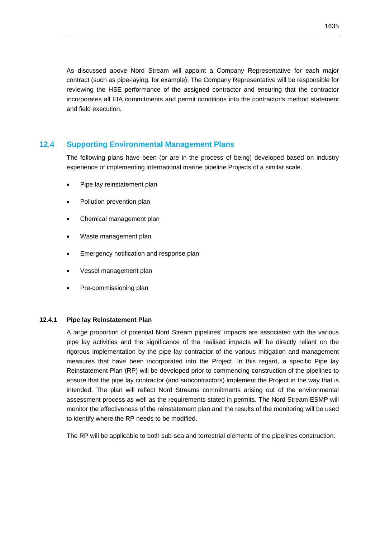As discussed above Nord Stream will appoint a Company Representative for each major contract (such as pipe-laying, for example). The Company Representative will be responsible for reviewing the HSE performance of the assigned contractor and ensuring that the contractor incorporates all EIA commitments and permit conditions into the contractor's method statement and field execution.

# **12.4 Supporting Environmental Management Plans**

The following plans have been (or are in the process of being) developed based on industry experience of implementing international marine pipeline Projects of a similar scale.

- Pipe lay reinstatement plan
- Pollution prevention plan
- Chemical management plan
- Waste management plan
- Emergency notification and response plan
- Vessel management plan
- Pre-commissioning plan

# **12.4.1 Pipe lay Reinstatement Plan**

A large proportion of potential Nord Stream pipelines' impacts are associated with the various pipe lay activities and the significance of the realised impacts will be directly reliant on the rigorous implementation by the pipe lay contractor of the various mitigation and management measures that have been incorporated into the Project. In this regard, a specific Pipe lay Reinstatement Plan (RP) will be developed prior to commencing construction of the pipelines to ensure that the pipe lay contractor (and subcontractors) implement the Project in the way that is intended. The plan will reflect Nord Streams commitments arising out of the environmental assessment process as well as the requirements stated in permits. The Nord Stream ESMP will monitor the effectiveness of the reinstatement plan and the results of the monitoring will be used to identify where the RP needs to be modified.

The RP will be applicable to both sub-sea and terrestrial elements of the pipelines construction.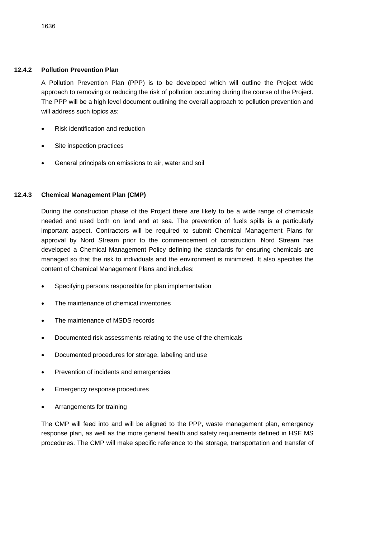### **12.4.2 Pollution Prevention Plan**

A Pollution Prevention Plan (PPP) is to be developed which will outline the Project wide approach to removing or reducing the risk of pollution occurring during the course of the Project. The PPP will be a high level document outlining the overall approach to pollution prevention and will address such topics as:

- Risk identification and reduction
- Site inspection practices
- General principals on emissions to air, water and soil

# **12.4.3 Chemical Management Plan (CMP)**

During the construction phase of the Project there are likely to be a wide range of chemicals needed and used both on land and at sea. The prevention of fuels spills is a particularly important aspect. Contractors will be required to submit Chemical Management Plans for approval by Nord Stream prior to the commencement of construction. Nord Stream has developed a Chemical Management Policy defining the standards for ensuring chemicals are managed so that the risk to individuals and the environment is minimized. It also specifies the content of Chemical Management Plans and includes:

- Specifying persons responsible for plan implementation
- The maintenance of chemical inventories
- The maintenance of MSDS records
- Documented risk assessments relating to the use of the chemicals
- Documented procedures for storage, labeling and use
- Prevention of incidents and emergencies
- Emergency response procedures
- Arrangements for training

The CMP will feed into and will be aligned to the PPP, waste management plan, emergency response plan, as well as the more general health and safety requirements defined in HSE MS procedures. The CMP will make specific reference to the storage, transportation and transfer of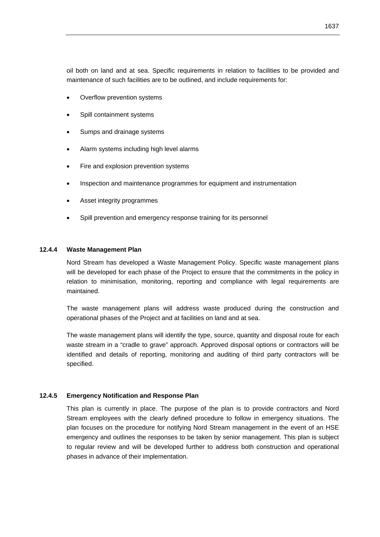- Overflow prevention systems
- Spill containment systems
- Sumps and drainage systems
- Alarm systems including high level alarms
- Fire and explosion prevention systems
- Inspection and maintenance programmes for equipment and instrumentation
- Asset integrity programmes
- Spill prevention and emergency response training for its personnel

# **12.4.4 Waste Management Plan**

Nord Stream has developed a Waste Management Policy. Specific waste management plans will be developed for each phase of the Project to ensure that the commitments in the policy in relation to minimisation, monitoring, reporting and compliance with legal requirements are maintained.

The waste management plans will address waste produced during the construction and operational phases of the Project and at facilities on land and at sea.

The waste management plans will identify the type, source, quantity and disposal route for each waste stream in a "cradle to grave" approach. Approved disposal options or contractors will be identified and details of reporting, monitoring and auditing of third party contractors will be specified.

# **12.4.5 Emergency Notification and Response Plan**

This plan is currently in place. The purpose of the plan is to provide contractors and Nord Stream employees with the clearly defined procedure to follow in emergency situations. The plan focuses on the procedure for notifying Nord Stream management in the event of an HSE emergency and outlines the responses to be taken by senior management. This plan is subject to regular review and will be developed further to address both construction and operational phases in advance of their implementation.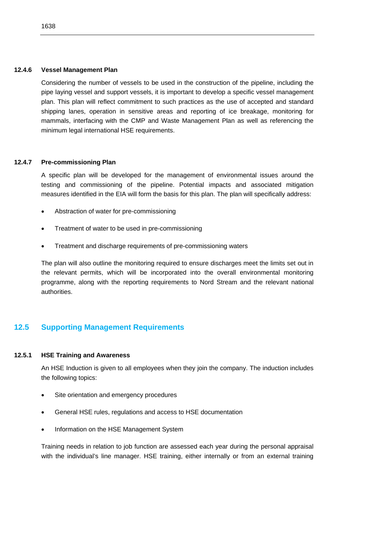#### **12.4.6 Vessel Management Plan**

Considering the number of vessels to be used in the construction of the pipeline, including the pipe laying vessel and support vessels, it is important to develop a specific vessel management plan. This plan will reflect commitment to such practices as the use of accepted and standard shipping lanes, operation in sensitive areas and reporting of ice breakage, monitoring for mammals, interfacing with the CMP and Waste Management Plan as well as referencing the minimum legal international HSE requirements.

#### **12.4.7 Pre-commissioning Plan**

A specific plan will be developed for the management of environmental issues around the testing and commissioning of the pipeline. Potential impacts and associated mitigation measures identified in the EIA will form the basis for this plan. The plan will specifically address:

- Abstraction of water for pre-commissioning
- Treatment of water to be used in pre-commissioning
- Treatment and discharge requirements of pre-commissioning waters

The plan will also outline the monitoring required to ensure discharges meet the limits set out in the relevant permits, which will be incorporated into the overall environmental monitoring programme, along with the reporting requirements to Nord Stream and the relevant national authorities.

# **12.5 Supporting Management Requirements**

# **12.5.1 HSE Training and Awareness**

An HSE Induction is given to all employees when they join the company. The induction includes the following topics:

- Site orientation and emergency procedures
- General HSE rules, regulations and access to HSE documentation
- Information on the HSE Management System

Training needs in relation to job function are assessed each year during the personal appraisal with the individual's line manager. HSE training, either internally or from an external training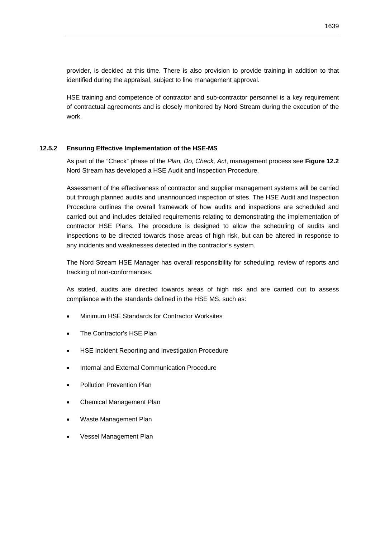provider, is decided at this time. There is also provision to provide training in addition to that identified during the appraisal, subject to line management approval.

HSE training and competence of contractor and sub-contractor personnel is a key requirement of contractual agreements and is closely monitored by Nord Stream during the execution of the work.

# **12.5.2 Ensuring Effective Implementation of the HSE-MS**

As part of the "Check" phase of the *Plan, Do, Check, Act*, management process see **Figure 12.2**  Nord Stream has developed a HSE Audit and Inspection Procedure.

Assessment of the effectiveness of contractor and supplier management systems will be carried out through planned audits and unannounced inspection of sites. The HSE Audit and Inspection Procedure outlines the overall framework of how audits and inspections are scheduled and carried out and includes detailed requirements relating to demonstrating the implementation of contractor HSE Plans. The procedure is designed to allow the scheduling of audits and inspections to be directed towards those areas of high risk, but can be altered in response to any incidents and weaknesses detected in the contractor's system.

The Nord Stream HSE Manager has overall responsibility for scheduling, review of reports and tracking of non-conformances.

As stated, audits are directed towards areas of high risk and are carried out to assess compliance with the standards defined in the HSE MS, such as:

- Minimum HSE Standards for Contractor Worksites
- The Contractor's HSE Plan
- HSE Incident Reporting and Investigation Procedure
- Internal and External Communication Procedure
- Pollution Prevention Plan
- Chemical Management Plan
- Waste Management Plan
- Vessel Management Plan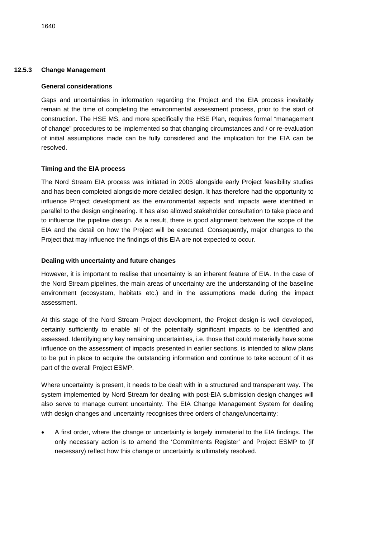# **General considerations**

Gaps and uncertainties in information regarding the Project and the EIA process inevitably remain at the time of completing the environmental assessment process, prior to the start of construction. The HSE MS, and more specifically the HSE Plan, requires formal "management of change" procedures to be implemented so that changing circumstances and / or re-evaluation of initial assumptions made can be fully considered and the implication for the EIA can be resolved.

# **Timing and the EIA process**

The Nord Stream EIA process was initiated in 2005 alongside early Project feasibility studies and has been completed alongside more detailed design. It has therefore had the opportunity to influence Project development as the environmental aspects and impacts were identified in parallel to the design engineering. It has also allowed stakeholder consultation to take place and to influence the pipeline design. As a result, there is good alignment between the scope of the EIA and the detail on how the Project will be executed. Consequently, major changes to the Project that may influence the findings of this EIA are not expected to occur.

# **Dealing with uncertainty and future changes**

However, it is important to realise that uncertainty is an inherent feature of EIA. In the case of the Nord Stream pipelines, the main areas of uncertainty are the understanding of the baseline environment (ecosystem, habitats etc.) and in the assumptions made during the impact assessment.

At this stage of the Nord Stream Project development, the Project design is well developed, certainly sufficiently to enable all of the potentially significant impacts to be identified and assessed. Identifying any key remaining uncertainties, i.e. those that could materially have some influence on the assessment of impacts presented in earlier sections, is intended to allow plans to be put in place to acquire the outstanding information and continue to take account of it as part of the overall Project ESMP.

Where uncertainty is present, it needs to be dealt with in a structured and transparent way. The system implemented by Nord Stream for dealing with post-EIA submission design changes will also serve to manage current uncertainty. The EIA Change Management System for dealing with design changes and uncertainty recognises three orders of change/uncertainty:

 A first order, where the change or uncertainty is largely immaterial to the EIA findings. The only necessary action is to amend the 'Commitments Register' and Project ESMP to (if necessary) reflect how this change or uncertainty is ultimately resolved.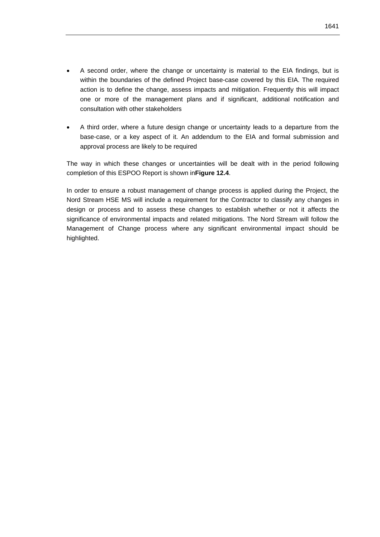- A second order, where the change or uncertainty is material to the EIA findings, but is within the boundaries of the defined Project base-case covered by this EIA. The required action is to define the change, assess impacts and mitigation. Frequently this will impact one or more of the management plans and if significant, additional notification and consultation with other stakeholders
- A third order, where a future design change or uncertainty leads to a departure from the base-case, or a key aspect of it. An addendum to the EIA and formal submission and approval process are likely to be required

The way in which these changes or uncertainties will be dealt with in the period following completion of this ESPOO Report is shown in**Figure 12.4**.

In order to ensure a robust management of change process is applied during the Project, the Nord Stream HSE MS will include a requirement for the Contractor to classify any changes in design or process and to assess these changes to establish whether or not it affects the significance of environmental impacts and related mitigations. The Nord Stream will follow the Management of Change process where any significant environmental impact should be highlighted.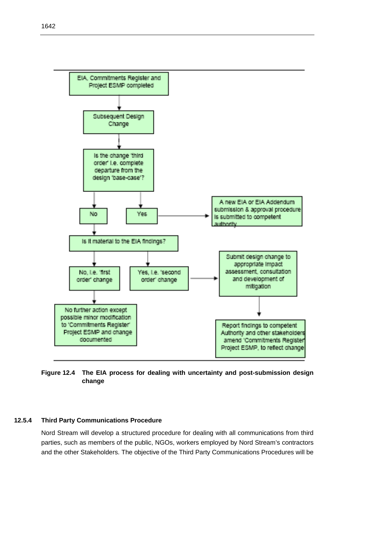

**Figure 12.4 The EIA process for dealing with uncertainty and post-submission design change** 

#### **12.5.4 Third Party Communications Procedure**

Nord Stream will develop a structured procedure for dealing with all communications from third parties, such as members of the public, NGOs, workers employed by Nord Stream's contractors and the other Stakeholders. The objective of the Third Party Communications Procedures will be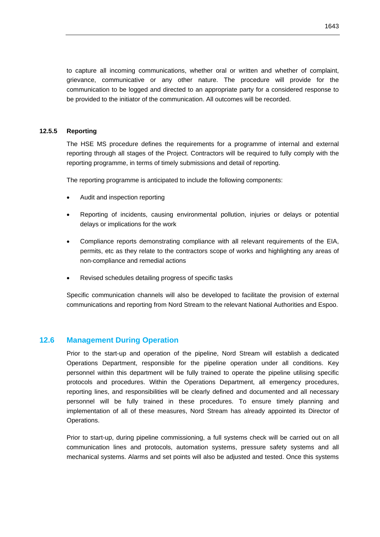to capture all incoming communications, whether oral or written and whether of complaint, grievance, communicative or any other nature. The procedure will provide for the communication to be logged and directed to an appropriate party for a considered response to be provided to the initiator of the communication. All outcomes will be recorded.

# **12.5.5 Reporting**

The HSE MS procedure defines the requirements for a programme of internal and external reporting through all stages of the Project. Contractors will be required to fully comply with the reporting programme, in terms of timely submissions and detail of reporting.

The reporting programme is anticipated to include the following components:

- Audit and inspection reporting
- Reporting of incidents, causing environmental pollution, injuries or delays or potential delays or implications for the work
- Compliance reports demonstrating compliance with all relevant requirements of the EIA, permits, etc as they relate to the contractors scope of works and highlighting any areas of non-compliance and remedial actions
- Revised schedules detailing progress of specific tasks

Specific communication channels will also be developed to facilitate the provision of external communications and reporting from Nord Stream to the relevant National Authorities and Espoo.

# **12.6 Management During Operation**

Prior to the start-up and operation of the pipeline, Nord Stream will establish a dedicated Operations Department, responsible for the pipeline operation under all conditions. Key personnel within this department will be fully trained to operate the pipeline utilising specific protocols and procedures. Within the Operations Department, all emergency procedures, reporting lines, and responsibilities will be clearly defined and documented and all necessary personnel will be fully trained in these procedures. To ensure timely planning and implementation of all of these measures, Nord Stream has already appointed its Director of Operations.

Prior to start-up, during pipeline commissioning, a full systems check will be carried out on all communication lines and protocols, automation systems, pressure safety systems and all mechanical systems. Alarms and set points will also be adjusted and tested. Once this systems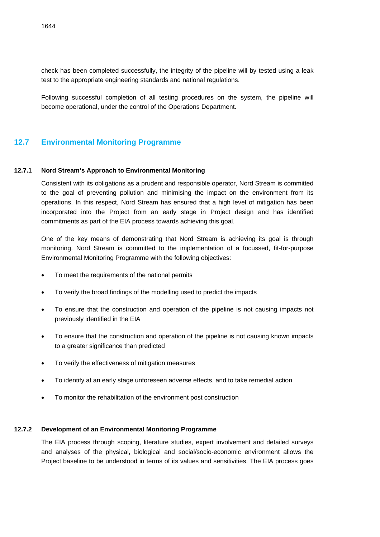check has been completed successfully, the integrity of the pipeline will by tested using a leak test to the appropriate engineering standards and national regulations.

Following successful completion of all testing procedures on the system, the pipeline will become operational, under the control of the Operations Department.

# **12.7 Environmental Monitoring Programme**

#### **12.7.1 Nord Stream's Approach to Environmental Monitoring**

Consistent with its obligations as a prudent and responsible operator, Nord Stream is committed to the goal of preventing pollution and minimising the impact on the environment from its operations. In this respect, Nord Stream has ensured that a high level of mitigation has been incorporated into the Project from an early stage in Project design and has identified commitments as part of the EIA process towards achieving this goal.

One of the key means of demonstrating that Nord Stream is achieving its goal is through monitoring. Nord Stream is committed to the implementation of a focussed, fit-for-purpose Environmental Monitoring Programme with the following objectives:

- To meet the requirements of the national permits
- To verify the broad findings of the modelling used to predict the impacts
- To ensure that the construction and operation of the pipeline is not causing impacts not previously identified in the EIA
- To ensure that the construction and operation of the pipeline is not causing known impacts to a greater significance than predicted
- To verify the effectiveness of mitigation measures
- To identify at an early stage unforeseen adverse effects, and to take remedial action
- To monitor the rehabilitation of the environment post construction

# **12.7.2 Development of an Environmental Monitoring Programme**

The EIA process through scoping, literature studies, expert involvement and detailed surveys and analyses of the physical, biological and social/socio-economic environment allows the Project baseline to be understood in terms of its values and sensitivities. The EIA process goes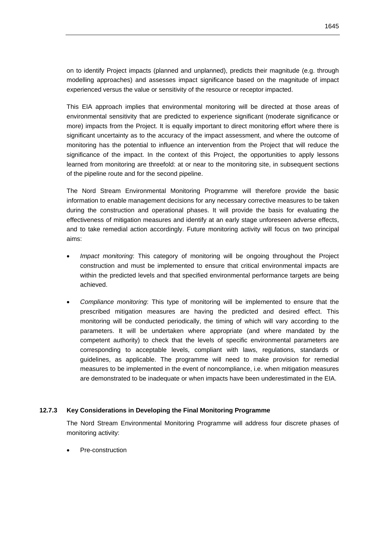on to identify Project impacts (planned and unplanned), predicts their magnitude (e.g. through modelling approaches) and assesses impact significance based on the magnitude of impact experienced versus the value or sensitivity of the resource or receptor impacted.

This EIA approach implies that environmental monitoring will be directed at those areas of environmental sensitivity that are predicted to experience significant (moderate significance or more) impacts from the Project. It is equally important to direct monitoring effort where there is significant uncertainty as to the accuracy of the impact assessment, and where the outcome of monitoring has the potential to influence an intervention from the Project that will reduce the significance of the impact. In the context of this Project, the opportunities to apply lessons learned from monitoring are threefold: at or near to the monitoring site, in subsequent sections of the pipeline route and for the second pipeline.

The Nord Stream Environmental Monitoring Programme will therefore provide the basic information to enable management decisions for any necessary corrective measures to be taken during the construction and operational phases. It will provide the basis for evaluating the effectiveness of mitigation measures and identify at an early stage unforeseen adverse effects, and to take remedial action accordingly. Future monitoring activity will focus on two principal aims:

- *Impact monitoring*: This category of monitoring will be ongoing throughout the Project construction and must be implemented to ensure that critical environmental impacts are within the predicted levels and that specified environmental performance targets are being achieved.
- *Compliance monitoring*: This type of monitoring will be implemented to ensure that the prescribed mitigation measures are having the predicted and desired effect. This monitoring will be conducted periodically, the timing of which will vary according to the parameters. It will be undertaken where appropriate (and where mandated by the competent authority) to check that the levels of specific environmental parameters are corresponding to acceptable levels, compliant with laws, regulations, standards or guidelines, as applicable. The programme will need to make provision for remedial measures to be implemented in the event of noncompliance, i.e. when mitigation measures are demonstrated to be inadequate or when impacts have been underestimated in the EIA.

# **12.7.3 Key Considerations in Developing the Final Monitoring Programme**

The Nord Stream Environmental Monitoring Programme will address four discrete phases of monitoring activity:

Pre-construction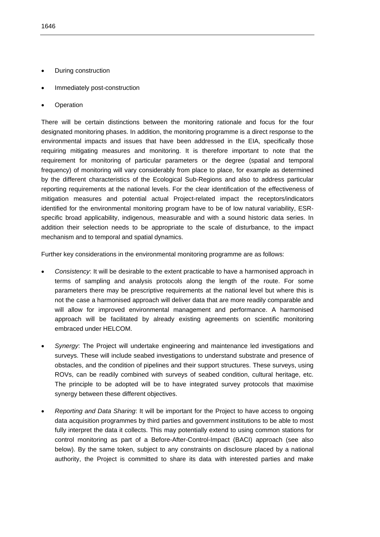- During construction
- Immediately post-construction
- **Operation**

There will be certain distinctions between the monitoring rationale and focus for the four designated monitoring phases. In addition, the monitoring programme is a direct response to the environmental impacts and issues that have been addressed in the EIA, specifically those requiring mitigating measures and monitoring. It is therefore important to note that the requirement for monitoring of particular parameters or the degree (spatial and temporal frequency) of monitoring will vary considerably from place to place, for example as determined by the different characteristics of the Ecological Sub-Regions and also to address particular reporting requirements at the national levels. For the clear identification of the effectiveness of mitigation measures and potential actual Project-related impact the receptors/indicators identified for the environmental monitoring program have to be of low natural variability, ESRspecific broad applicability, indigenous, measurable and with a sound historic data series. In addition their selection needs to be appropriate to the scale of disturbance, to the impact mechanism and to temporal and spatial dynamics.

Further key considerations in the environmental monitoring programme are as follows:

- *Consistency*: It will be desirable to the extent practicable to have a harmonised approach in terms of sampling and analysis protocols along the length of the route. For some parameters there may be prescriptive requirements at the national level but where this is not the case a harmonised approach will deliver data that are more readily comparable and will allow for improved environmental management and performance. A harmonised approach will be facilitated by already existing agreements on scientific monitoring embraced under HELCOM.
- *Synergy*: The Project will undertake engineering and maintenance led investigations and surveys. These will include seabed investigations to understand substrate and presence of obstacles, and the condition of pipelines and their support structures. These surveys, using ROVs, can be readily combined with surveys of seabed condition, cultural heritage, etc. The principle to be adopted will be to have integrated survey protocols that maximise synergy between these different objectives.
- *Reporting and Data Sharing*: It will be important for the Project to have access to ongoing data acquisition programmes by third parties and government institutions to be able to most fully interpret the data it collects. This may potentially extend to using common stations for control monitoring as part of a Before-After-Control-Impact (BACI) approach (see also below). By the same token, subject to any constraints on disclosure placed by a national authority, the Project is committed to share its data with interested parties and make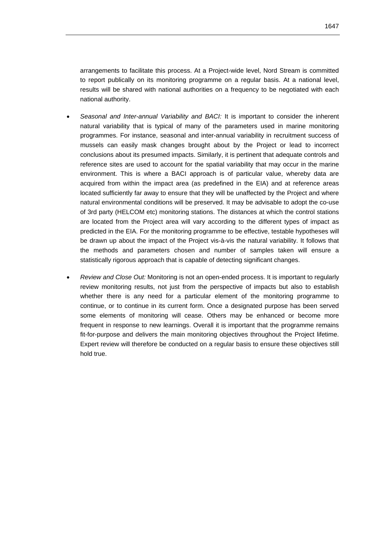arrangements to facilitate this process. At a Project-wide level, Nord Stream is committed to report publically on its monitoring programme on a regular basis. At a national level, results will be shared with national authorities on a frequency to be negotiated with each national authority.

- *Seasonal and Inter-annual Variability and BACI:* It is important to consider the inherent natural variability that is typical of many of the parameters used in marine monitoring programmes. For instance, seasonal and inter-annual variability in recruitment success of mussels can easily mask changes brought about by the Project or lead to incorrect conclusions about its presumed impacts. Similarly, it is pertinent that adequate controls and reference sites are used to account for the spatial variability that may occur in the marine environment. This is where a BACI approach is of particular value, whereby data are acquired from within the impact area (as predefined in the EIA) and at reference areas located sufficiently far away to ensure that they will be unaffected by the Project and where natural environmental conditions will be preserved. It may be advisable to adopt the co-use of 3rd party (HELCOM etc) monitoring stations. The distances at which the control stations are located from the Project area will vary according to the different types of impact as predicted in the EIA. For the monitoring programme to be effective, testable hypotheses will be drawn up about the impact of the Project vis-à-vis the natural variability. It follows that the methods and parameters chosen and number of samples taken will ensure a statistically rigorous approach that is capable of detecting significant changes.
- *Review and Close Out:* Monitoring is not an open-ended process. It is important to regularly review monitoring results, not just from the perspective of impacts but also to establish whether there is any need for a particular element of the monitoring programme to continue, or to continue in its current form. Once a designated purpose has been served some elements of monitoring will cease. Others may be enhanced or become more frequent in response to new learnings. Overall it is important that the programme remains fit-for-purpose and delivers the main monitoring objectives throughout the Project lifetime. Expert review will therefore be conducted on a regular basis to ensure these objectives still hold true.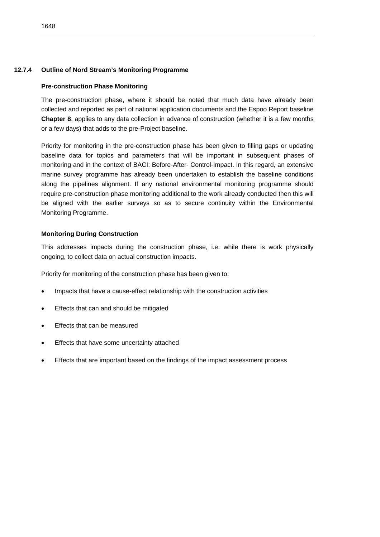# **12.7.4 Outline of Nord Stream's Monitoring Programme**

# **Pre-construction Phase Monitoring**

The pre-construction phase, where it should be noted that much data have already been collected and reported as part of national application documents and the Espoo Report baseline **Chapter 8**, applies to any data collection in advance of construction (whether it is a few months or a few days) that adds to the pre-Project baseline.

Priority for monitoring in the pre-construction phase has been given to filling gaps or updating baseline data for topics and parameters that will be important in subsequent phases of monitoring and in the context of BACI: Before-After- Control-Impact. In this regard, an extensive marine survey programme has already been undertaken to establish the baseline conditions along the pipelines alignment. If any national environmental monitoring programme should require pre-construction phase monitoring additional to the work already conducted then this will be aligned with the earlier surveys so as to secure continuity within the Environmental Monitoring Programme.

# **Monitoring During Construction**

This addresses impacts during the construction phase, i.e. while there is work physically ongoing, to collect data on actual construction impacts.

Priority for monitoring of the construction phase has been given to:

- Impacts that have a cause-effect relationship with the construction activities
- Effects that can and should be mitigated
- Effects that can be measured
- Effects that have some uncertainty attached
- Effects that are important based on the findings of the impact assessment process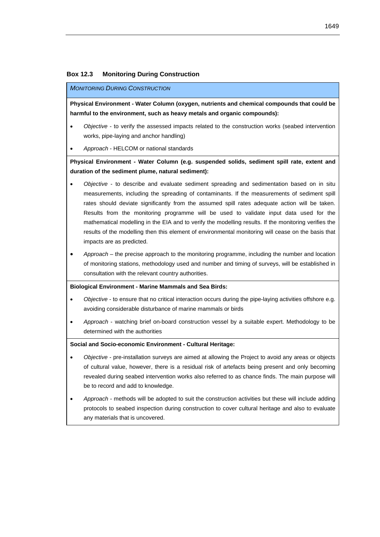#### **Box 12.3 Monitoring During Construction**

#### *MONITORING DURING CONSTRUCTION*

**Physical Environment - Water Column (oxygen, nutrients and chemical compounds that could be harmful to the environment, such as heavy metals and organic compounds):** 

- *Objective*  to verify the assessed impacts related to the construction works (seabed intervention works, pipe-laying and anchor handling)
- *Approach* HELCOM or national standards

**Physical Environment - Water Column (e.g. suspended solids, sediment spill rate, extent and duration of the sediment plume, natural sediment):** 

- *Objective* to describe and evaluate sediment spreading and sedimentation based on in situ measurements, including the spreading of contaminants. If the measurements of sediment spill rates should deviate significantly from the assumed spill rates adequate action will be taken. Results from the monitoring programme will be used to validate input data used for the mathematical modelling in the EIA and to verify the modelling results. If the monitoring verifies the results of the modelling then this element of environmental monitoring will cease on the basis that impacts are as predicted.
- *Approach* the precise approach to the monitoring programme, including the number and location of monitoring stations, methodology used and number and timing of surveys, will be established in consultation with the relevant country authorities.

#### **Biological Environment - Marine Mammals and Sea Birds:**

- *Objective* to ensure that no critical interaction occurs during the pipe-laying activities offshore e.g. avoiding considerable disturbance of marine mammals or birds
- *Approach* watching brief on-board construction vessel by a suitable expert. Methodology to be determined with the authorities

#### **Social and Socio-economic Environment - Cultural Heritage:**

- *Objective* pre-installation surveys are aimed at allowing the Project to avoid any areas or objects of cultural value, however, there is a residual risk of artefacts being present and only becoming revealed during seabed intervention works also referred to as chance finds. The main purpose will be to record and add to knowledge.
- *Approach* methods will be adopted to suit the construction activities but these will include adding protocols to seabed inspection during construction to cover cultural heritage and also to evaluate any materials that is uncovered.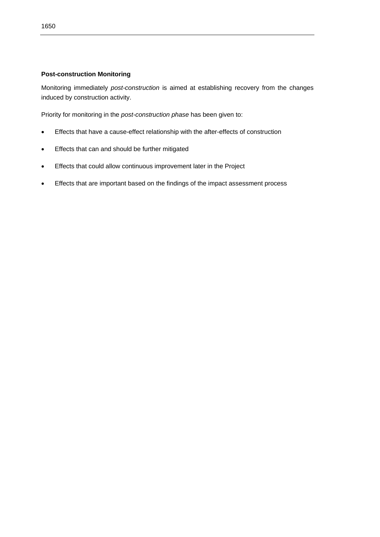# **Post-construction Monitoring**

Monitoring immediately *post-construction* is aimed at establishing recovery from the changes induced by construction activity.

Priority for monitoring in the *post-construction phase* has been given to:

- Effects that have a cause-effect relationship with the after-effects of construction
- **•** Effects that can and should be further mitigated
- **Effects that could allow continuous improvement later in the Project**
- Effects that are important based on the findings of the impact assessment process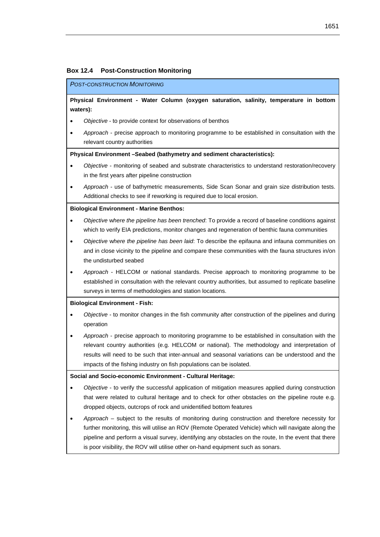# **Box 12.4 Post-Construction Monitoring**

#### *POST-CONSTRUCTION MONITORING*

**Physical Environment - Water Column (oxygen saturation, salinity, temperature in bottom waters):**

- *Objective* to provide context for observations of benthos
	- *Approach* precise approach to monitoring programme to be established in consultation with the relevant country authorities

#### **Physical Environment –Seabed (bathymetry and sediment characteristics):**

- *Objective* monitoring of seabed and substrate characteristics to understand restoration/recovery in the first years after pipeline construction
- *Approach* use of bathymetric measurements, Side Scan Sonar and grain size distribution tests. Additional checks to see if reworking is required due to local erosion.

#### **Biological Environment - Marine Benthos:**

- *Objective* w*here the pipeline has been trenched*: To provide a record of baseline conditions against which to verify EIA predictions, monitor changes and regeneration of benthic fauna communities
- *Objective* w*here the pipeline has been laid*: To describe the epifauna and infauna communities on and in close vicinity to the pipeline and compare these communities with the fauna structures in/on the undisturbed seabed
- *Approach* HELCOM or national standards. Precise approach to monitoring programme to be established in consultation with the relevant country authorities, but assumed to replicate baseline surveys in terms of methodologies and station locations.

#### **Biological Environment - Fish:**

- *Objective* to monitor changes in the fish community after construction of the pipelines and during operation
- *Approach* precise approach to monitoring programme to be established in consultation with the relevant country authorities (e.g. HELCOM or national). The methodology and interpretation of results will need to be such that inter-annual and seasonal variations can be understood and the impacts of the fishing industry on fish populations can be isolated.

#### **Social and Socio-economic Environment - Cultural Heritage:**

- *Objective* to verify the successful application of mitigation measures applied during construction that were related to cultural heritage and to check for other obstacles on the pipeline route e.g. dropped objects, outcrops of rock and unidentified bottom features
- *Approach* subject to the results of monitoring during construction and therefore necessity for further monitoring, this will utilise an ROV (Remote Operated Vehicle) which will navigate along the pipeline and perform a visual survey, identifying any obstacles on the route, In the event that there is poor visibility, the ROV will utilise other on-hand equipment such as sonars.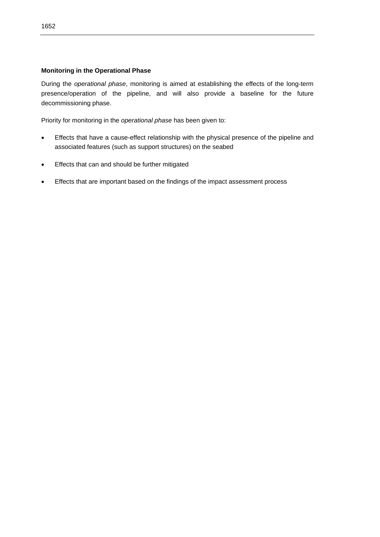# **Monitoring in the Operational Phase**

During the *operational phase*, monitoring is aimed at establishing the effects of the long-term presence/operation of the pipeline, and will also provide a baseline for the future decommissioning phase.

Priority for monitoring in the *operational phase* has been given to:

- Effects that have a cause-effect relationship with the physical presence of the pipeline and associated features (such as support structures) on the seabed
- **Effects that can and should be further mitigated**
- Effects that are important based on the findings of the impact assessment process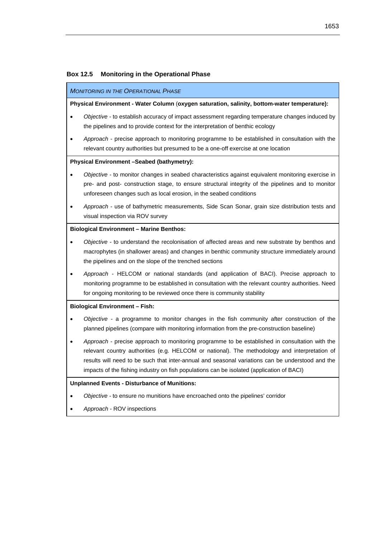### **Box 12.5 Monitoring in the Operational Phase**

#### *MONITORING IN THE OPERATIONAL PHASE*

#### **Physical Environment - Water Column** (**oxygen saturation, salinity, bottom-water temperature):**

- *Objective -* to establish accuracy of impact assessment regarding temperature changes induced by the pipelines and to provide context for the interpretation of benthic ecology
- *Approach -* precise approach to monitoring programme to be established in consultation with the relevant country authorities but presumed to be a one-off exercise at one location

#### **Physical Environment –Seabed (bathymetry):**

- *Objective -* to monitor changes in seabed characteristics against equivalent monitoring exercise in pre- and post- construction stage, to ensure structural integrity of the pipelines and to monitor unforeseen changes such as local erosion, in the seabed conditions
- *Approach* use of bathymetric measurements, Side Scan Sonar, grain size distribution tests and visual inspection via ROV survey

#### **Biological Environment – Marine Benthos:**

- *Objective -* to understand the recolonisation of affected areas and new substrate by benthos and macrophytes (in shallower areas) and changes in benthic community structure immediately around the pipelines and on the slope of the trenched sections
- *Approach -* HELCOM or national standards (and application of BACI). Precise approach to monitoring programme to be established in consultation with the relevant country authorities. Need for ongoing monitoring to be reviewed once there is community stability

#### **Biological Environment – Fish:**

- *Objective -* a programme to monitor changes in the fish community after construction of the planned pipelines (compare with monitoring information from the pre-construction baseline)
- *Approach -* precise approach to monitoring programme to be established in consultation with the relevant country authorities (e.g. HELCOM or national). The methodology and interpretation of results will need to be such that inter-annual and seasonal variations can be understood and the impacts of the fishing industry on fish populations can be isolated (application of BACI)

#### **Unplanned Events - Disturbance of Munitions:**

- *Objective -* to ensure no munitions have encroached onto the pipelines' corridor
- *Approach -* ROV inspections